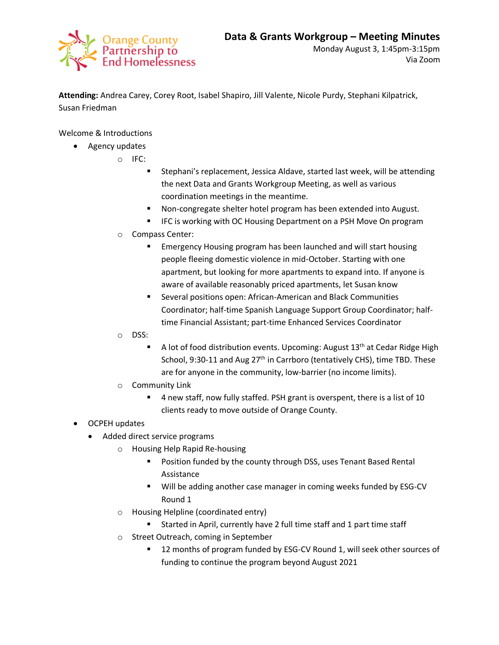

**Attending:** Andrea Carey, Corey Root, Isabel Shapiro, Jill Valente, Nicole Purdy, Stephani Kilpatrick, Susan Friedman

Welcome & Introductions

- Agency updates
	- o IFC:
		- Stephani's replacement, Jessica Aldave, started last week, will be attending the next Data and Grants Workgroup Meeting, as well as various coordination meetings in the meantime.
		- Non-congregate shelter hotel program has been extended into August.
		- **IFC is working with OC Housing Department on a PSH Move On program**
	- o Compass Center:
		- Emergency Housing program has been launched and will start housing people fleeing domestic violence in mid-October. Starting with one apartment, but looking for more apartments to expand into. If anyone is aware of available reasonably priced apartments, let Susan know
		- Several positions open: African-American and Black Communities Coordinator; half-time Spanish Language Support Group Coordinator; halftime Financial Assistant; part-time Enhanced Services Coordinator
	- o DSS:
		- A lot of food distribution events. Upcoming: August  $13<sup>th</sup>$  at Cedar Ridge High School, 9:30-11 and Aug 27<sup>th</sup> in Carrboro (tentatively CHS), time TBD. These are for anyone in the community, low-barrier (no income limits).
	- o Community Link
		- 4 new staff, now fully staffed. PSH grant is overspent, there is a list of 10 clients ready to move outside of Orange County.
- OCPEH updates
	- Added direct service programs
		- o Housing Help Rapid Re-housing
			- **Position funded by the county through DSS, uses Tenant Based Rental** Assistance
			- Will be adding another case manager in coming weeks funded by ESG-CV Round 1
		- o Housing Helpline (coordinated entry)
			- Started in April, currently have 2 full time staff and 1 part time staff
		- o Street Outreach, coming in September
			- 12 months of program funded by ESG-CV Round 1, will seek other sources of funding to continue the program beyond August 2021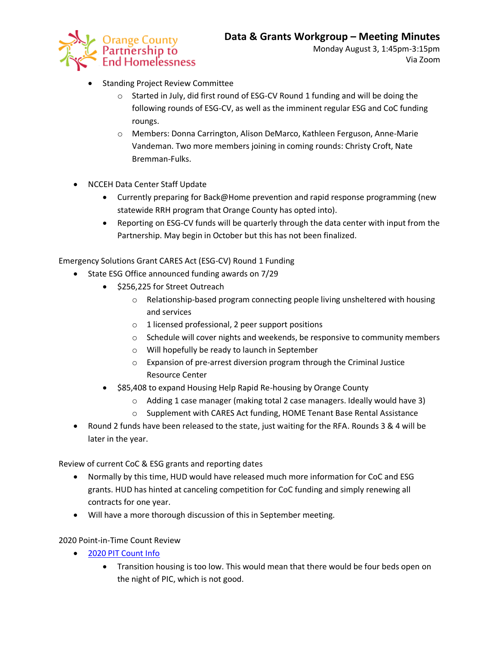

- **•** Standing Project Review Committee
	- $\circ$  Started in July, did first round of ESG-CV Round 1 funding and will be doing the following rounds of ESG-CV, as well as the imminent regular ESG and CoC funding roungs.
	- o Members: Donna Carrington, Alison DeMarco, Kathleen Ferguson, Anne-Marie Vandeman. Two more members joining in coming rounds: Christy Croft, Nate Bremman-Fulks.
- NCCEH Data Center Staff Update
	- Currently preparing for Back@Home prevention and rapid response programming (new statewide RRH program that Orange County has opted into).
	- Reporting on ESG-CV funds will be quarterly through the data center with input from the Partnership. May begin in October but this has not been finalized.

Emergency Solutions Grant CARES Act (ESG-CV) Round 1 Funding

- State ESG Office announced funding awards on 7/29
	- $\bullet$  \$256,225 for Street Outreach
		- o Relationship-based program connecting people living unsheltered with housing and services
		- o 1 licensed professional, 2 peer support positions
		- o Schedule will cover nights and weekends, be responsive to community members
		- o Will hopefully be ready to launch in September
		- o Expansion of pre-arrest diversion program through the Criminal Justice Resource Center
	- \$85,408 to expand Housing Help Rapid Re-housing by Orange County
		- $\circ$  Adding 1 case manager (making total 2 case managers. Ideally would have 3)
		- o Supplement with CARES Act funding, HOME Tenant Base Rental Assistance
- Round 2 funds have been released to the state, just waiting for the RFA. Rounds 3 & 4 will be later in the year.

Review of current CoC & ESG grants and reporting dates

- Normally by this time, HUD would have released much more information for CoC and ESG grants. HUD has hinted at canceling competition for CoC funding and simply renewing all contracts for one year.
- Will have a more thorough discussion of this in September meeting.

2020 Point-in-Time Count Review

- [2020 PIT Count Info](https://3fdbeb6d-b077-4bb6-a731-19451cd6ff1a.filesusr.com/ugd/6b8c5a_2012b555a8af4a8dae6382c9f4621f9e.pdf)
	- Transition housing is too low. This would mean that there would be four beds open on the night of PIC, which is not good.